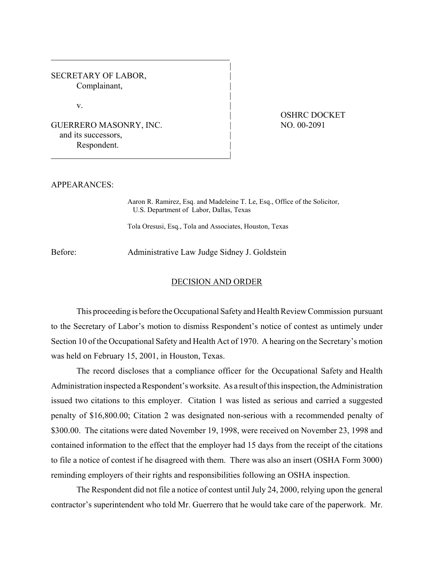SECRETARY OF LABOR, Complainant,

 $\mathbf{v}$ .

## GUERRERO MASONRY, INC. | and its successors, Respondent.

## OSHRC DOCKET NO. 00-2091

## APPEARANCES:

Aaron R. Ramirez, Esq. and Madeleine T. Le, Esq., Office of the Solicitor, U.S. Department of Labor, Dallas, Texas

|

|

|

|

Tola Oresusi, Esq., Tola and Associates, Houston, Texas

Before: Administrative Law Judge Sidney J. Goldstein

## DECISION AND ORDER

This proceeding is before the Occupational Safety and Health Review Commission pursuant to the Secretary of Labor's motion to dismiss Respondent's notice of contest as untimely under Section 10 of the Occupational Safety and Health Act of 1970. A hearing on the Secretary's motion was held on February 15, 2001, in Houston, Texas.

The record discloses that a compliance officer for the Occupational Safety and Health Administration inspected a Respondent's worksite. As a result of this inspection, the Administration issued two citations to this employer. Citation 1 was listed as serious and carried a suggested penalty of \$16,800.00; Citation 2 was designated non-serious with a recommended penalty of \$300.00. The citations were dated November 19, 1998, were received on November 23, 1998 and contained information to the effect that the employer had 15 days from the receipt of the citations to file a notice of contest if he disagreed with them. There was also an insert (OSHA Form 3000) reminding employers of their rights and responsibilities following an OSHA inspection.

The Respondent did not file a notice of contest until July 24, 2000, relying upon the general contractor's superintendent who told Mr. Guerrero that he would take care of the paperwork. Mr.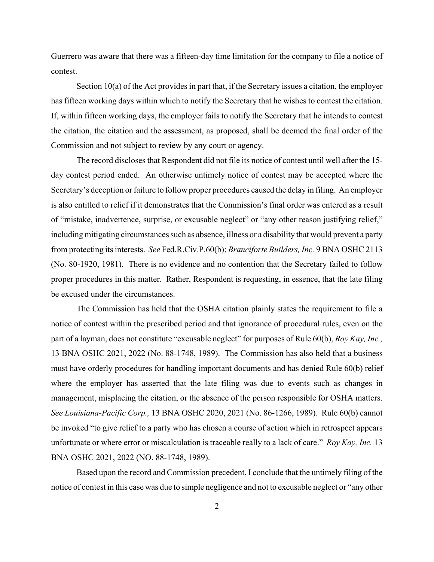Guerrero was aware that there was a fifteen-day time limitation for the company to file a notice of contest.

Section 10(a) of the Act provides in part that, if the Secretary issues a citation, the employer has fifteen working days within which to notify the Secretary that he wishes to contest the citation. If, within fifteen working days, the employer fails to notify the Secretary that he intends to contest the citation, the citation and the assessment, as proposed, shall be deemed the final order of the Commission and not subject to review by any court or agency.

The record discloses that Respondent did not file its notice of contest until well after the 15 day contest period ended. An otherwise untimely notice of contest may be accepted where the Secretary's deception or failure to follow proper procedures caused the delay in filing. An employer is also entitled to relief if it demonstrates that the Commission's final order was entered as a result of "mistake, inadvertence, surprise, or excusable neglect" or "any other reason justifying relief," including mitigating circumstances such as absence, illness or a disability that would prevent a party from protecting its interests. *See* Fed.R.Civ.P.60(b); *Branciforte Builders, Inc.* 9 BNA OSHC 2113 (No. 80-1920, 1981). There is no evidence and no contention that the Secretary failed to follow proper procedures in this matter. Rather, Respondent is requesting, in essence, that the late filing be excused under the circumstances.

The Commission has held that the OSHA citation plainly states the requirement to file a notice of contest within the prescribed period and that ignorance of procedural rules, even on the part of a layman, does not constitute "excusable neglect" for purposes of Rule 60(b), *Roy Kay, Inc.,*  13 BNA OSHC 2021, 2022 (No. 88-1748, 1989). The Commission has also held that a business must have orderly procedures for handling important documents and has denied Rule 60(b) relief where the employer has asserted that the late filing was due to events such as changes in management, misplacing the citation, or the absence of the person responsible for OSHA matters. *See Louisiana-Pacific Corp.,* 13 BNA OSHC 2020, 2021 (No. 86-1266, 1989). Rule 60(b) cannot be invoked "to give relief to a party who has chosen a course of action which in retrospect appears unfortunate or where error or miscalculation is traceable really to a lack of care." *Roy Kay, Inc.* 13 BNA OSHC 2021, 2022 (NO. 88-1748, 1989).

Based upon the record and Commission precedent, I conclude that the untimely filing of the notice of contest in this case was due to simple negligence and not to excusable neglect or "any other